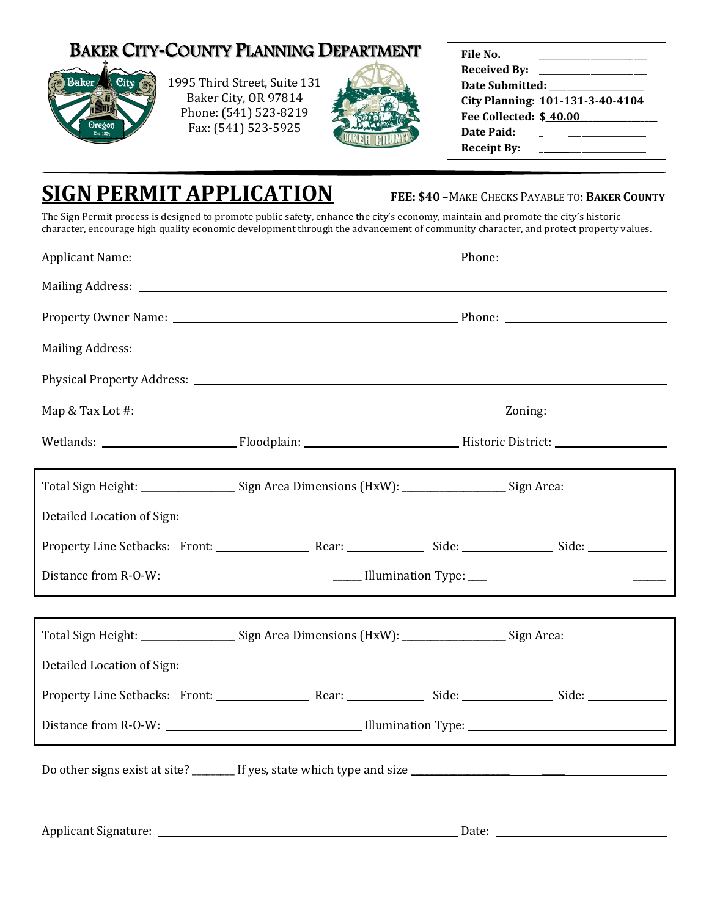## BAKER CITY**-**COUNTY PLANNING DEPARTMENT



1995 Third Street, Suite 131 Baker City, OR 97814 Phone: (541) 523-8219 Fax: (541) 523-5925



| File No.               |                                  |
|------------------------|----------------------------------|
| <b>Received By:</b>    |                                  |
| Date Submitted:        |                                  |
|                        | City Planning: 101-131-3-40-4104 |
| Fee Collected: \$40.00 |                                  |
| <b>Date Paid:</b>      |                                  |
| <b>Receipt By:</b>     |                                  |
|                        |                                  |

## **SIGN PERMIT APPLICATION FEE: \$40** –MAKE CHECKS PAYABLE TO: **<sup>B</sup>AKER COUNTY**

The Sign Permit process is designed to promote public safety, enhance the city's economy, maintain and promote the city's historic character, encourage high quality economic development through the advancement of community character, and protect property values.

|  | Total Sign Height: Sign Area Dimensions (HxW): Sign Area: Sign Area: Sign Area:                                |  |  |  |  |
|--|----------------------------------------------------------------------------------------------------------------|--|--|--|--|
|  |                                                                                                                |  |  |  |  |
|  |                                                                                                                |  |  |  |  |
|  |                                                                                                                |  |  |  |  |
|  |                                                                                                                |  |  |  |  |
|  | Total Sign Height: _____________________Sign Area Dimensions (HxW): ___________________Sign Area: ____________ |  |  |  |  |
|  |                                                                                                                |  |  |  |  |
|  |                                                                                                                |  |  |  |  |
|  |                                                                                                                |  |  |  |  |
|  |                                                                                                                |  |  |  |  |
|  |                                                                                                                |  |  |  |  |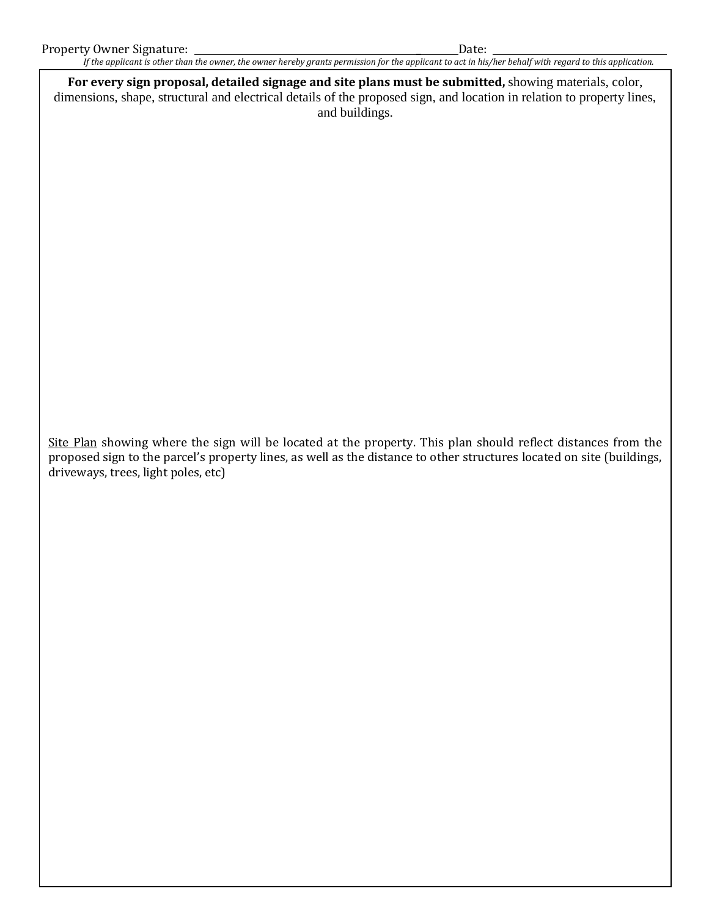*If the applicant is other than the owner, the owner hereby grants permission for the applicant to act in his/her behalf with regard to this application.*

**For every sign proposal, detailed signage and site plans must be submitted,** showing materials, color, dimensions, shape, structural and electrical details of the proposed sign, and location in relation to property lines, and buildings.

Site Plan showing where the sign will be located at the property. This plan should reflect distances from the proposed sign to the parcel's property lines, as well as the distance to other structures located on site (buildings, driveways, trees, light poles, etc)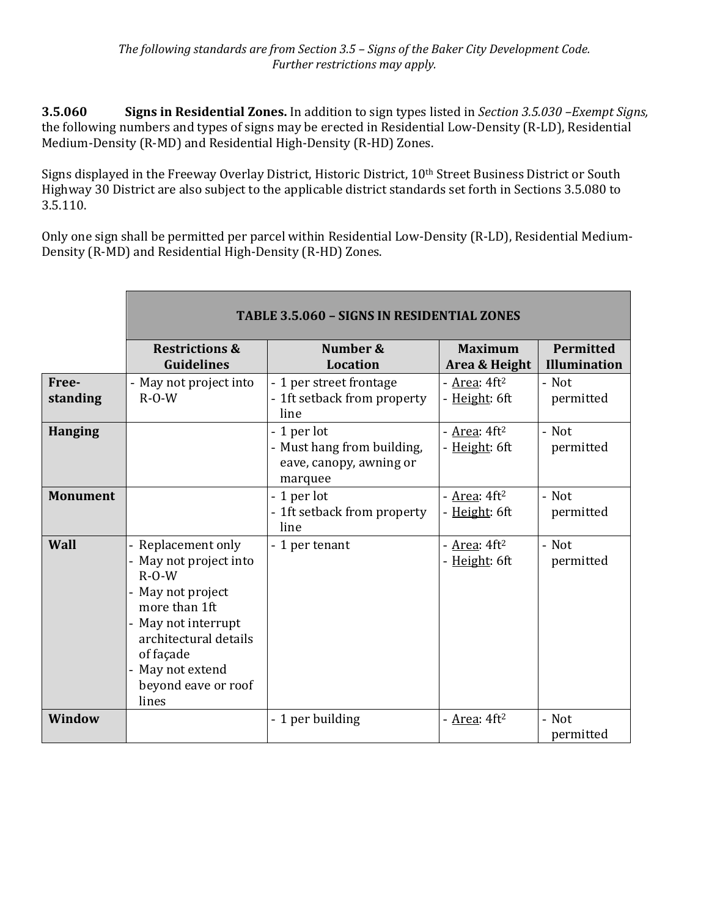**3.5.060 Signs in Residential Zones.** In addition to sign types listed in *Section 3.5.030 –Exempt Signs,* the following numbers and types of signs may be erected in Residential Low-Density (R-LD), Residential Medium-Density (R-MD) and Residential High-Density (R-HD) Zones.

Signs displayed in the Freeway Overlay District, Historic District, 10<sup>th</sup> Street Business District or South Highway 30 District are also subject to the applicable district standards set forth in Sections 3.5.080 to 3.5.110.

Only one sign shall be permitted per parcel within Residential Low-Density (R-LD), Residential Medium-Density (R-MD) and Residential High-Density (R-HD) Zones.

|                   | <b>TABLE 3.5.060 - SIGNS IN RESIDENTIAL ZONES</b>                                                                                                                                                          |                                                        |                                         |                                         |
|-------------------|------------------------------------------------------------------------------------------------------------------------------------------------------------------------------------------------------------|--------------------------------------------------------|-----------------------------------------|-----------------------------------------|
|                   | <b>Restrictions &amp;</b><br><b>Guidelines</b>                                                                                                                                                             | Number &<br><b>Location</b>                            | <b>Maximum</b><br>Area & Height         | <b>Permitted</b><br><b>Illumination</b> |
| Free-<br>standing | - May not project into<br>$R-O-W$                                                                                                                                                                          | - 1 per street frontage<br>- 1ft setback from property | - $Area: 4ft2$<br>- Height: 6ft         | - Not<br>permitted                      |
| <b>Hanging</b>    |                                                                                                                                                                                                            | line<br>- 1 per lot<br>- Must hang from building,      | - Area: $4ft2$<br>- Height: 6ft         | - Not<br>permitted                      |
|                   |                                                                                                                                                                                                            | eave, canopy, awning or<br>marquee                     |                                         |                                         |
| <b>Monument</b>   |                                                                                                                                                                                                            | - 1 per lot<br>- 1ft setback from property<br>line     | - $Area: 4ft2$<br>- <u>Height</u> : 6ft | - Not<br>permitted                      |
| Wall              | Replacement only<br>May not project into<br>$R - O - W$<br>May not project<br>more than 1ft<br>- May not interrupt<br>architectural details<br>of façade<br>May not extend<br>beyond eave or roof<br>lines | - 1 per tenant                                         | - Area: $4ft2$<br>- <u>Height</u> : 6ft | - Not<br>permitted                      |
| <b>Window</b>     |                                                                                                                                                                                                            | - 1 per building                                       | - $Area: 4ft2$                          | - Not<br>permitted                      |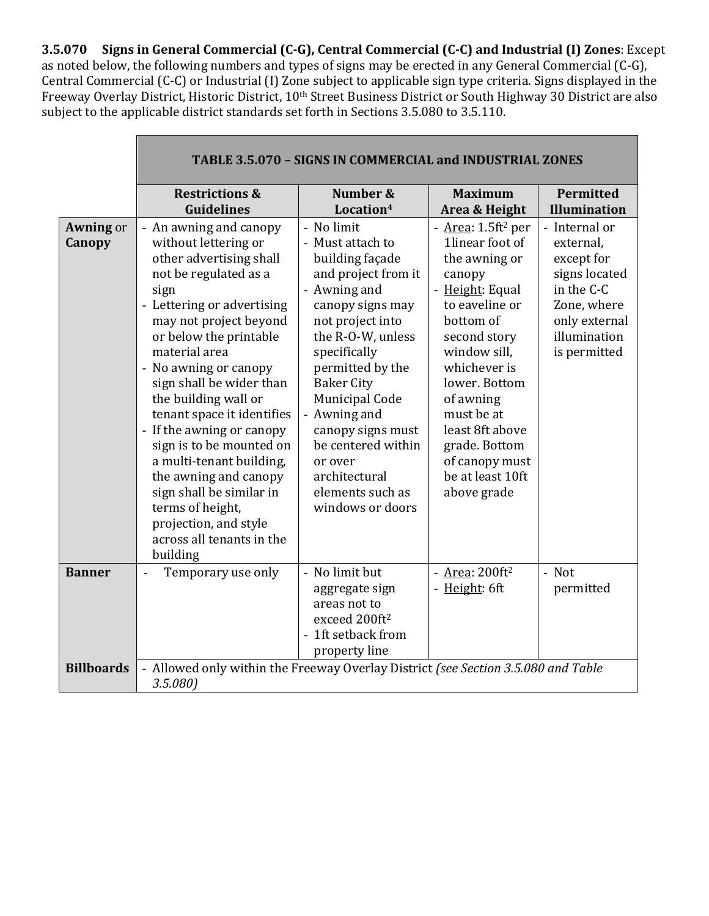**3.5.070 Signs in General Commercial (C-G), Central Commercial (C-C) and Industrial (I) Zones**: Except as noted below, the following numbers and types of signs may be erected in any General Commercial (C-G), Central Commercial (C-C) or Industrial (I) Zone subject to applicable sign type criteria. Signs displayed in the Freeway Overlay District, Historic District, 10<sup>th</sup> Street Business District or South Highway 30 District are also subject to the applicable district standards set forth in Sections 3.5.080 to 3.5.110.

|                            | TABLE 3.5.070 - SIGNS IN COMMERCIAL and INDUSTRIAL ZONES                                                                                                                                                                                                                                                                                                                                                                                                                                                                                                 |                                                                                                                                                                                                                                                                                                                                                                 |                                                                                                                                                                                                                                                                                                                     |                                                                                                                                         |
|----------------------------|----------------------------------------------------------------------------------------------------------------------------------------------------------------------------------------------------------------------------------------------------------------------------------------------------------------------------------------------------------------------------------------------------------------------------------------------------------------------------------------------------------------------------------------------------------|-----------------------------------------------------------------------------------------------------------------------------------------------------------------------------------------------------------------------------------------------------------------------------------------------------------------------------------------------------------------|---------------------------------------------------------------------------------------------------------------------------------------------------------------------------------------------------------------------------------------------------------------------------------------------------------------------|-----------------------------------------------------------------------------------------------------------------------------------------|
|                            | <b>Restrictions &amp;</b><br><b>Guidelines</b>                                                                                                                                                                                                                                                                                                                                                                                                                                                                                                           | Number &<br>Location <sup>4</sup>                                                                                                                                                                                                                                                                                                                               | <b>Maximum</b><br>Area & Height                                                                                                                                                                                                                                                                                     | Permitted<br><b>Illumination</b>                                                                                                        |
| <b>Awning or</b><br>Canopy | - An awning and canopy<br>without lettering or<br>other advertising shall<br>not be regulated as a<br>sign<br>- Lettering or advertising<br>may not project beyond<br>or below the printable<br>material area<br>- No awning or canopy<br>sign shall be wider than<br>the building wall or<br>tenant space it identifies<br>- If the awning or canopy<br>sign is to be mounted on<br>a multi-tenant building,<br>the awning and canopy<br>sign shall be similar in<br>terms of height,<br>projection, and style<br>across all tenants in the<br>building | - No limit<br>- Must attach to<br>building façade<br>and project from it<br>- Awning and<br>canopy signs may<br>not project into<br>the R-O-W, unless<br>specifically<br>permitted by the<br><b>Baker City</b><br>Municipal Code<br>- Awning and<br>canopy signs must<br>be centered within<br>or over<br>architectural<br>elements such as<br>windows or doors | - Area: 1.5ft <sup>2</sup> per<br>1linear foot of<br>the awning or<br>canopy<br>- Height: Equal<br>to eaveline or<br>bottom of<br>second story<br>window sill,<br>whichever is<br>lower. Bottom<br>of awning<br>must be at<br>least 8ft above<br>grade. Bottom<br>of canopy must<br>be at least 10ft<br>above grade | - Internal or<br>external,<br>except for<br>signs located<br>in the C-C<br>Zone, where<br>only external<br>illumination<br>is permitted |
| <b>Banner</b>              | Temporary use only                                                                                                                                                                                                                                                                                                                                                                                                                                                                                                                                       | - No limit but<br>aggregate sign<br>areas not to<br>exceed 200ft <sup>2</sup><br>- 1ft setback from<br>property line                                                                                                                                                                                                                                            | - $Area: 200 ft2$<br>- Height: 6ft                                                                                                                                                                                                                                                                                  | - Not<br>permitted                                                                                                                      |
| <b>Billboards</b>          | - Allowed only within the Freeway Overlay District (see Section 3.5.080 and Table<br>3.5.080                                                                                                                                                                                                                                                                                                                                                                                                                                                             |                                                                                                                                                                                                                                                                                                                                                                 |                                                                                                                                                                                                                                                                                                                     |                                                                                                                                         |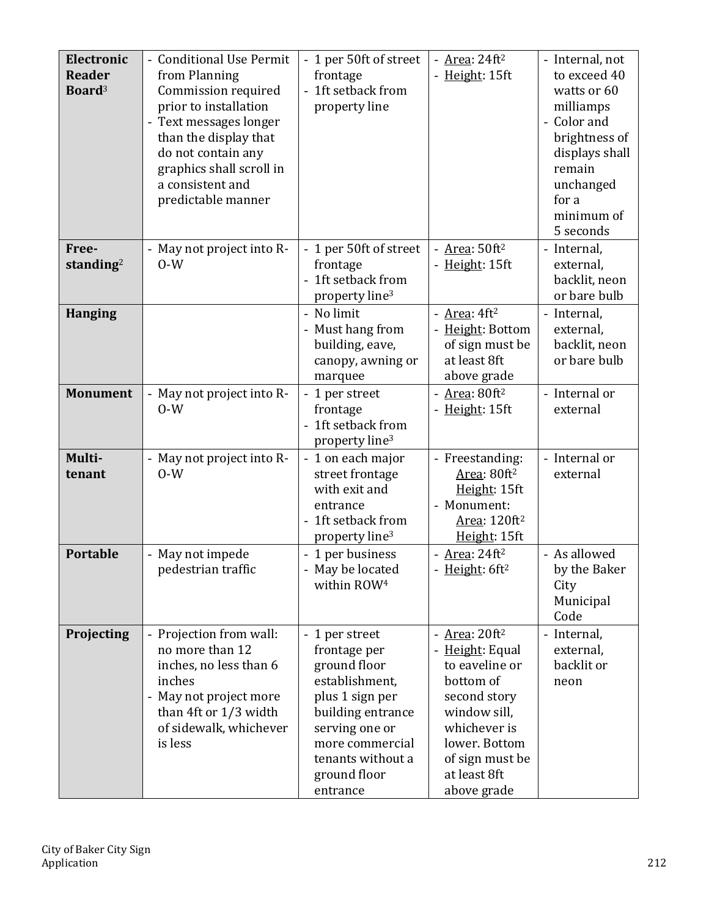| Electronic<br><b>Reader</b><br>Board <sup>3</sup> | - Conditional Use Permit<br>from Planning<br>Commission required<br>prior to installation<br>- Text messages longer<br>than the display that<br>do not contain any<br>graphics shall scroll in<br>a consistent and<br>predictable manner | - 1 per 50ft of street<br>frontage<br>- 1ft setback from<br>property line                                                                                                                      | - Area: $24ft2$<br>Height: 15ft                                                                                                                                                     | - Internal, not<br>to exceed 40<br>watts or 60<br>milliamps<br>Color and<br>brightness of<br>displays shall<br>remain<br>unchanged<br>for a<br>minimum of<br>5 seconds |
|---------------------------------------------------|------------------------------------------------------------------------------------------------------------------------------------------------------------------------------------------------------------------------------------------|------------------------------------------------------------------------------------------------------------------------------------------------------------------------------------------------|-------------------------------------------------------------------------------------------------------------------------------------------------------------------------------------|------------------------------------------------------------------------------------------------------------------------------------------------------------------------|
| Free-<br>standing <sup>2</sup>                    | May not project into R-<br>$0-W$                                                                                                                                                                                                         | 1 per 50ft of street<br>frontage<br>- 1ft setback from<br>property line <sup>3</sup>                                                                                                           | - $Area: 50ft2$<br>- Height: 15ft                                                                                                                                                   | - Internal,<br>external,<br>backlit, neon<br>or bare bulb                                                                                                              |
| <b>Hanging</b>                                    |                                                                                                                                                                                                                                          | - No limit<br>- Must hang from<br>building, eave,<br>canopy, awning or<br>marquee                                                                                                              | - $Area: 4ft2$<br>- Height: Bottom<br>of sign must be<br>at least 8ft<br>above grade                                                                                                | - Internal,<br>external,<br>backlit, neon<br>or bare bulb                                                                                                              |
| <b>Monument</b>                                   | May not project into R-<br>$0-W$                                                                                                                                                                                                         | 1 per street<br>frontage<br>- 1ft setback from<br>property line <sup>3</sup>                                                                                                                   | Area: 80ft <sup>2</sup><br>Height: 15ft                                                                                                                                             | - Internal or<br>external                                                                                                                                              |
| Multi-<br>tenant                                  | May not project into R-<br>$0-W$                                                                                                                                                                                                         | - 1 on each major<br>street frontage<br>with exit and<br>entrance<br>- 1ft setback from<br>property line <sup>3</sup>                                                                          | - Freestanding:<br>Area: 80ft <sup>2</sup><br>Height: 15ft<br>- Monument:<br>Area: 120ft <sup>2</sup><br>Height: 15ft                                                               | - Internal or<br>external                                                                                                                                              |
| <b>Portable</b>                                   | - May not impede<br>pedestrian traffic                                                                                                                                                                                                   | - 1 per business<br>- May be located<br>within ROW <sup>4</sup>                                                                                                                                | - Area: $24ft2$<br>- Height: 6ft <sup>2</sup>                                                                                                                                       | - As allowed<br>by the Baker<br>City<br>Municipal<br>Code                                                                                                              |
| Projecting                                        | - Projection from wall:<br>no more than 12<br>inches, no less than 6<br>inches<br>- May not project more<br>than 4ft or 1/3 width<br>of sidewalk, whichever<br>is less                                                                   | - 1 per street<br>frontage per<br>ground floor<br>establishment,<br>plus 1 sign per<br>building entrance<br>serving one or<br>more commercial<br>tenants without a<br>ground floor<br>entrance | - $Area: 20 ft2$<br>Height: Equal<br>to eaveline or<br>bottom of<br>second story<br>window sill,<br>whichever is<br>lower. Bottom<br>of sign must be<br>at least 8ft<br>above grade | - Internal,<br>external,<br>backlit or<br>neon                                                                                                                         |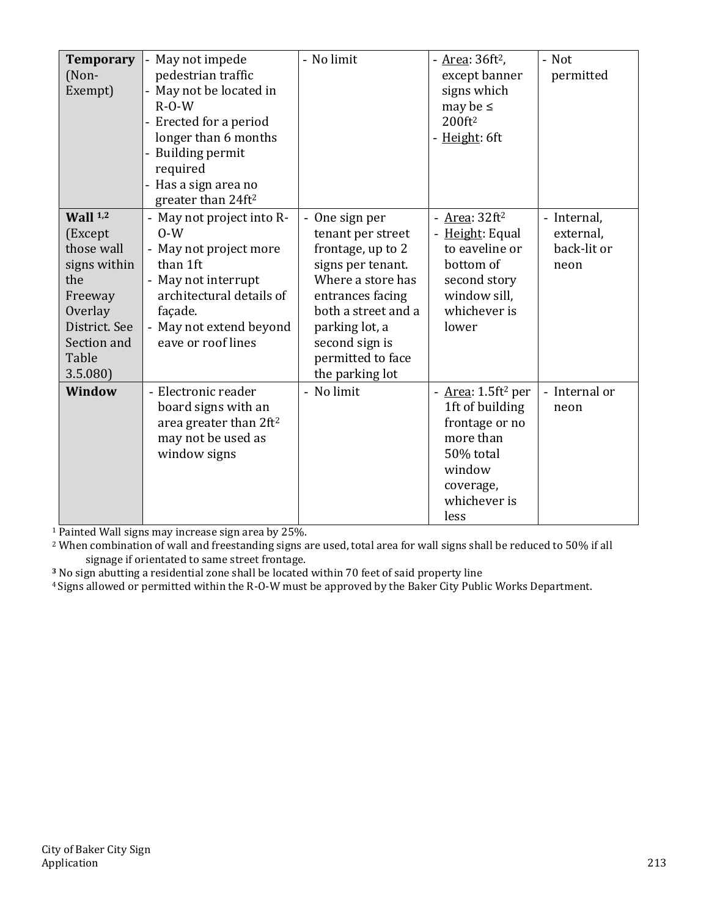| <b>Temporary</b><br>(Non-<br>Exempt)                                                                                                 | May not impede<br>pedestrian traffic<br>May not be located in<br>$R-O-W$<br>- Erected for a period<br>longer than 6 months<br>- Building permit<br>required<br>Has a sign area no<br>greater than 24ft <sup>2</sup> | - No limit                                                                                                                                                                                                              | - <u>Area</u> : 36ft <sup>2</sup> ,<br>except banner<br>signs which<br>may be $\leq$<br>200ft <sup>2</sup><br>- Height: 6ft                          | - Not<br>permitted                              |
|--------------------------------------------------------------------------------------------------------------------------------------|---------------------------------------------------------------------------------------------------------------------------------------------------------------------------------------------------------------------|-------------------------------------------------------------------------------------------------------------------------------------------------------------------------------------------------------------------------|------------------------------------------------------------------------------------------------------------------------------------------------------|-------------------------------------------------|
| Wall $1,2$<br>(Except<br>those wall<br>signs within<br>the<br>Freeway<br>Overlay<br>District. See<br>Section and<br>Table<br>3.5.080 | - May not project into R-<br>$0-W$<br>- May not project more<br>than 1ft<br>- May not interrupt<br>architectural details of<br>façade.<br>May not extend beyond<br>eave or roof lines                               | One sign per<br>tenant per street<br>frontage, up to 2<br>signs per tenant.<br>Where a store has<br>entrances facing<br>both a street and a<br>parking lot, a<br>second sign is<br>permitted to face<br>the parking lot | - $Area: 32 ft2$<br>- Height: Equal<br>to eaveline or<br>bottom of<br>second story<br>window sill,<br>whichever is<br>lower                          | - Internal,<br>external,<br>back-lit or<br>neon |
| Window                                                                                                                               | - Electronic reader<br>board signs with an<br>area greater than 2ft <sup>2</sup><br>may not be used as<br>window signs                                                                                              | - No limit                                                                                                                                                                                                              | - <u>Area</u> : 1.5ft <sup>2</sup> per<br>1ft of building<br>frontage or no<br>more than<br>50% total<br>window<br>coverage,<br>whichever is<br>less | - Internal or<br>neon                           |

<sup>1</sup> Painted Wall signs may increase sign area by 25%.

<sup>2</sup> When combination of wall and freestanding signs are used, total area for wall signs shall be reduced to 50% if all signage if orientated to same street frontage.

**<sup>3</sup>** No sign abutting a residential zone shall be located within 70 feet of said property line

4 Signs allowed or permitted within the R-O-W must be approved by the Baker City Public Works Department.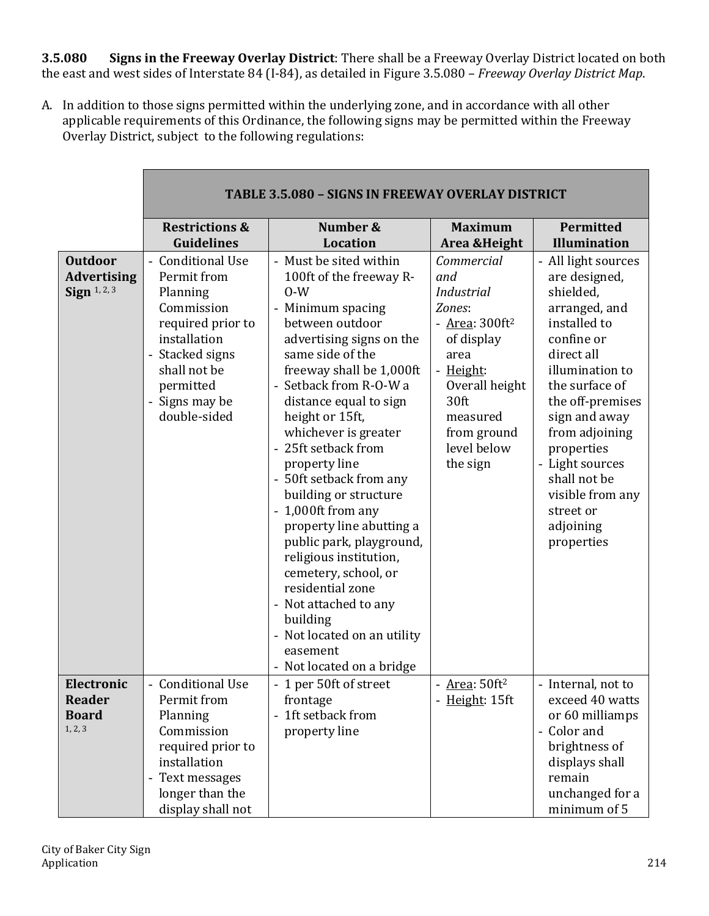**3.5.080 Signs in the Freeway Overlay District**: There shall be a Freeway Overlay District located on both the east and west sides of Interstate 84 (I-84), as detailed in Figure 3.5.080 – *Freeway Overlay District Map*.

A. In addition to those signs permitted within the underlying zone, and in accordance with all other applicable requirements of this Ordinance, the following signs may be permitted within the Freeway Overlay District, subject to the following regulations:

|                                                        | <b>TABLE 3.5.080 - SIGNS IN FREEWAY OVERLAY DISTRICT</b>                                                                                                                        |                                                                                                                                                                                                                                                                                                                                                                                                                                                                                                                                                                                                                                    |                                                                                                                                                                                          |                                                                                                                                                                                                                                                                                                                         |
|--------------------------------------------------------|---------------------------------------------------------------------------------------------------------------------------------------------------------------------------------|------------------------------------------------------------------------------------------------------------------------------------------------------------------------------------------------------------------------------------------------------------------------------------------------------------------------------------------------------------------------------------------------------------------------------------------------------------------------------------------------------------------------------------------------------------------------------------------------------------------------------------|------------------------------------------------------------------------------------------------------------------------------------------------------------------------------------------|-------------------------------------------------------------------------------------------------------------------------------------------------------------------------------------------------------------------------------------------------------------------------------------------------------------------------|
|                                                        | <b>Restrictions &amp;</b><br><b>Guidelines</b>                                                                                                                                  | Number &<br><b>Location</b>                                                                                                                                                                                                                                                                                                                                                                                                                                                                                                                                                                                                        | <b>Maximum</b><br>Area & Height                                                                                                                                                          | Permitted<br><b>Illumination</b>                                                                                                                                                                                                                                                                                        |
| <b>Outdoor</b><br><b>Advertising</b><br>Sign $1, 2, 3$ | - Conditional Use<br>Permit from<br>Planning<br>Commission<br>required prior to<br>installation<br>- Stacked signs<br>shall not be<br>permitted<br>Signs may be<br>double-sided | - Must be sited within<br>100ft of the freeway R-<br>$0-W$<br>- Minimum spacing<br>between outdoor<br>advertising signs on the<br>same side of the<br>freeway shall be 1,000ft<br>Setback from R-O-W a<br>distance equal to sign<br>height or 15ft,<br>whichever is greater<br>25ft setback from<br>property line<br>- 50ft setback from any<br>building or structure<br>1,000ft from any<br>property line abutting a<br>public park, playground,<br>religious institution,<br>cemetery, school, or<br>residential zone<br>- Not attached to any<br>building<br>Not located on an utility<br>easement<br>- Not located on a bridge | Commercial<br>and<br><b>Industrial</b><br>Zones:<br>- $Area: 300 ft2$<br>of display<br>area<br>- Height:<br>Overall height<br>30ft<br>measured<br>from ground<br>level below<br>the sign | - All light sources<br>are designed,<br>shielded,<br>arranged, and<br>installed to<br>confine or<br>direct all<br>illumination to<br>the surface of<br>the off-premises<br>sign and away<br>from adjoining<br>properties<br>- Light sources<br>shall not be<br>visible from any<br>street or<br>adjoining<br>properties |
| Electronic<br><b>Reader</b><br><b>Board</b><br>1, 2, 3 | - Conditional Use<br>Permit from<br>Planning<br>Commission<br>required prior to<br>installation<br>- Text messages<br>longer than the<br>display shall not                      | - 1 per 50ft of street<br>frontage<br>1ft setback from<br>property line                                                                                                                                                                                                                                                                                                                                                                                                                                                                                                                                                            | - $Area: 50 ft2$<br>- Height: 15ft                                                                                                                                                       | - Internal, not to<br>exceed 40 watts<br>or 60 milliamps<br>- Color and<br>brightness of<br>displays shall<br>remain<br>unchanged for a<br>minimum of 5                                                                                                                                                                 |